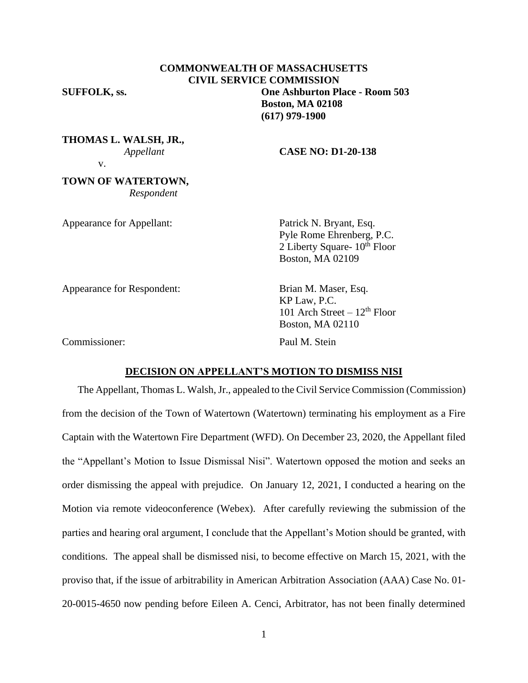# **COMMONWEALTH OF MASSACHUSETTS CIVIL SERVICE COMMISSION SUFFOLK, ss. One Ashburton Place - Room 503 Boston, MA 02108 (617) 979-1900**

**THOMAS L. WALSH, JR.,**

v.

# *Appellant* **CASE NO: D1-20-138**

**TOWN OF WATERTOWN,**  *Respondent*

Appearance for Appellant: Patrick N. Bryant, Esq.

Pyle Rome Ehrenberg, P.C. 2 Liberty Square-  $10^{th}$  Floor Boston, MA 02109

Appearance for Respondent: Brian M. Maser, Esq.

Commissioner: Paul M. Stein

KP Law, P.C. 101 Arch Street –  $12<sup>th</sup>$  Floor Boston, MA 02110

### **DECISION ON APPELLANT'S MOTION TO DISMISS NISI**

The Appellant, Thomas L. Walsh, Jr., appealed to the Civil Service Commission (Commission) from the decision of the Town of Watertown (Watertown) terminating his employment as a Fire Captain with the Watertown Fire Department (WFD). On December 23, 2020, the Appellant filed the "Appellant's Motion to Issue Dismissal Nisi". Watertown opposed the motion and seeks an order dismissing the appeal with prejudice. On January 12, 2021, I conducted a hearing on the Motion via remote videoconference (Webex). After carefully reviewing the submission of the parties and hearing oral argument, I conclude that the Appellant's Motion should be granted, with conditions. The appeal shall be dismissed nisi, to become effective on March 15, 2021, with the proviso that, if the issue of arbitrability in American Arbitration Association (AAA) Case No. 01- 20-0015-4650 now pending before Eileen A. Cenci, Arbitrator, has not been finally determined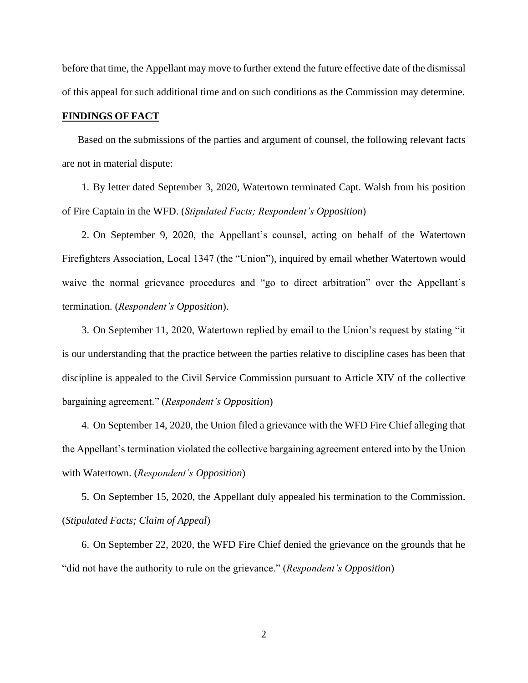before that time, the Appellant may move to further extend the future effective date of the dismissal of this appeal for such additional time and on such conditions as the Commission may determine.

### **FINDINGS OF FACT**

Based on the submissions of the parties and argument of counsel, the following relevant facts are not in material dispute:

1. By letter dated September 3, 2020, Watertown terminated Capt. Walsh from his position of Fire Captain in the WFD. (*Stipulated Facts; Respondent's Opposition*)

2. On September 9, 2020, the Appellant's counsel, acting on behalf of the Watertown Firefighters Association, Local 1347 (the "Union"), inquired by email whether Watertown would waive the normal grievance procedures and "go to direct arbitration" over the Appellant's termination. (*Respondent's Opposition*).

3. On September 11, 2020, Watertown replied by email to the Union's request by stating "it is our understanding that the practice between the parties relative to discipline cases has been that discipline is appealed to the Civil Service Commission pursuant to Article XIV of the collective bargaining agreement." (*Respondent's Opposition*)

4. On September 14, 2020, the Union filed a grievance with the WFD Fire Chief alleging that the Appellant's termination violated the collective bargaining agreement entered into by the Union with Watertown. (*Respondent's Opposition*)

5. On September 15, 2020, the Appellant duly appealed his termination to the Commission. (*Stipulated Facts; Claim of Appeal*)

6. On September 22, 2020, the WFD Fire Chief denied the grievance on the grounds that he "did not have the authority to rule on the grievance." (*Respondent's Opposition*)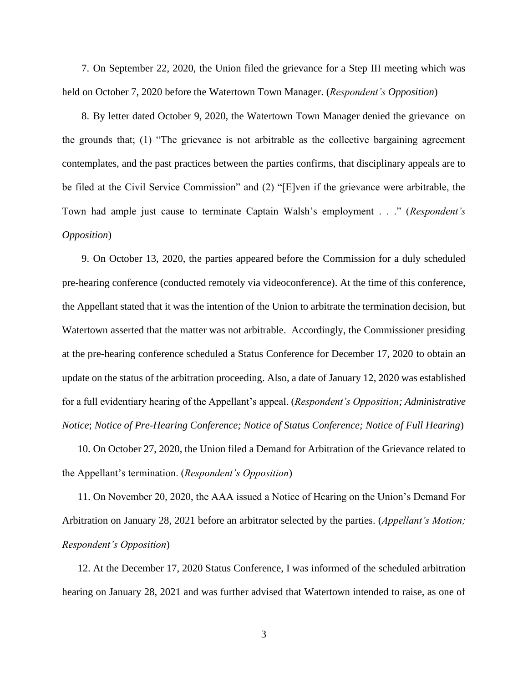7. On September 22, 2020, the Union filed the grievance for a Step III meeting which was held on October 7, 2020 before the Watertown Town Manager. (*Respondent's Opposition*)

8. By letter dated October 9, 2020, the Watertown Town Manager denied the grievance on the grounds that; (1) "The grievance is not arbitrable as the collective bargaining agreement contemplates, and the past practices between the parties confirms, that disciplinary appeals are to be filed at the Civil Service Commission" and (2) "[E]ven if the grievance were arbitrable, the Town had ample just cause to terminate Captain Walsh's employment . . ." (*Respondent's Opposition*)

9. On October 13, 2020, the parties appeared before the Commission for a duly scheduled pre-hearing conference (conducted remotely via videoconference). At the time of this conference, the Appellant stated that it was the intention of the Union to arbitrate the termination decision, but Watertown asserted that the matter was not arbitrable. Accordingly, the Commissioner presiding at the pre-hearing conference scheduled a Status Conference for December 17, 2020 to obtain an update on the status of the arbitration proceeding. Also, a date of January 12, 2020 was established for a full evidentiary hearing of the Appellant's appeal. (*Respondent's Opposition; Administrative Notice*; *Notice of Pre-Hearing Conference; Notice of Status Conference; Notice of Full Hearing*)

10. On October 27, 2020, the Union filed a Demand for Arbitration of the Grievance related to the Appellant's termination. (*Respondent's Opposition*)

11. On November 20, 2020, the AAA issued a Notice of Hearing on the Union's Demand For Arbitration on January 28, 2021 before an arbitrator selected by the parties. (*Appellant's Motion; Respondent's Opposition*)

12. At the December 17, 2020 Status Conference, I was informed of the scheduled arbitration hearing on January 28, 2021 and was further advised that Watertown intended to raise, as one of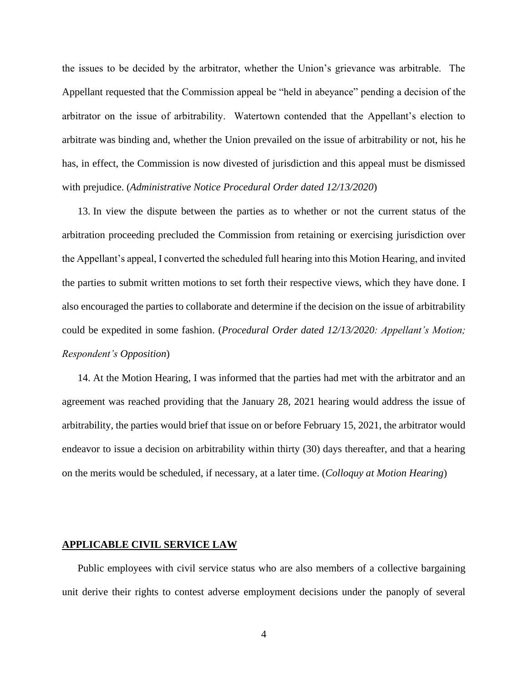the issues to be decided by the arbitrator, whether the Union's grievance was arbitrable. The Appellant requested that the Commission appeal be "held in abeyance" pending a decision of the arbitrator on the issue of arbitrability. Watertown contended that the Appellant's election to arbitrate was binding and, whether the Union prevailed on the issue of arbitrability or not, his he has, in effect, the Commission is now divested of jurisdiction and this appeal must be dismissed with prejudice. (*Administrative Notice Procedural Order dated 12/13/2020*)

13. In view the dispute between the parties as to whether or not the current status of the arbitration proceeding precluded the Commission from retaining or exercising jurisdiction over the Appellant's appeal, I converted the scheduled full hearing into this Motion Hearing, and invited the parties to submit written motions to set forth their respective views, which they have done. I also encouraged the parties to collaborate and determine if the decision on the issue of arbitrability could be expedited in some fashion. (*Procedural Order dated 12/13/2020: Appellant's Motion; Respondent's Opposition*)

14. At the Motion Hearing, I was informed that the parties had met with the arbitrator and an agreement was reached providing that the January 28, 2021 hearing would address the issue of arbitrability, the parties would brief that issue on or before February 15, 2021, the arbitrator would endeavor to issue a decision on arbitrability within thirty (30) days thereafter, and that a hearing on the merits would be scheduled, if necessary, at a later time. (*Colloquy at Motion Hearing*)

#### **APPLICABLE CIVIL SERVICE LAW**

Public employees with civil service status who are also members of a collective bargaining unit derive their rights to contest adverse employment decisions under the panoply of several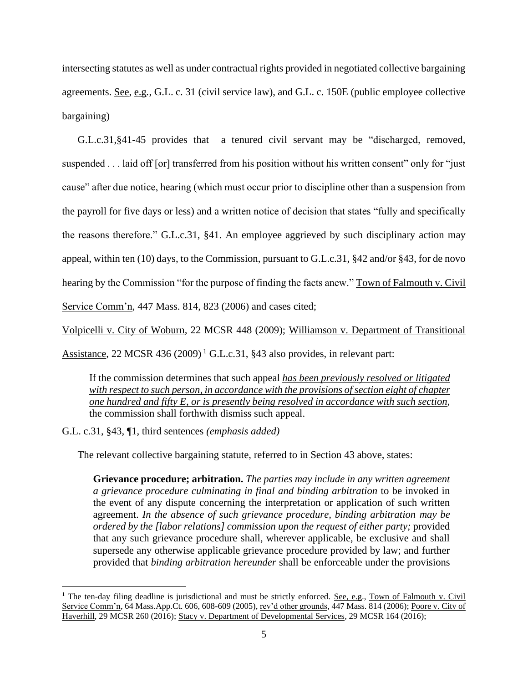intersecting statutes as well as under contractual rights provided in negotiated collective bargaining agreements. See, e.g*.*, G.L. c. 31 (civil service law), and G.L. c. 150E (public employee collective bargaining)

G.L.c.31,§41-45 provides that a tenured civil servant may be "discharged, removed, suspended . . . laid off [or] transferred from his position without his written consent" only for "just cause" after due notice, hearing (which must occur prior to discipline other than a suspension from the payroll for five days or less) and a written notice of decision that states "fully and specifically the reasons therefore." G.L.c.31, §41. An employee aggrieved by such disciplinary action may appeal, within ten (10) days, to the Commission, pursuant to G.L.c.31, §42 and/or §43, for de novo hearing by the Commission "for the purpose of finding the facts anew." Town of Falmouth v. Civil Service Comm'n, 447 Mass. 814, 823 (2006) and cases cited;

Volpicelli v. City of Woburn, 22 MCSR 448 (2009); Williamson v. Department of Transitional

Assistance, 22 MCSR 436 (2009)<sup>1</sup> G.L.c.31, §43 also provides, in relevant part:

If the commission determines that such appeal *has been previously resolved or litigated with respect to such person, in accordance with the provisions of section eight of chapter one hundred and fifty E, or is presently being resolved in accordance with such section,* the commission shall forthwith dismiss such appeal.

G.L. c.31, §43, ¶1, third sentences *(emphasis added)*

The relevant collective bargaining statute, referred to in Section 43 above, states:

**Grievance procedure; arbitration.** *The parties may include in any written agreement a grievance procedure culminating in final and binding arbitration* to be invoked in the event of any dispute concerning the interpretation or application of such written agreement. *In the absence of such grievance procedure, binding arbitration may be ordered by the [labor relations] commission upon the request of either party;* provided that any such grievance procedure shall, wherever applicable, be exclusive and shall supersede any otherwise applicable grievance procedure provided by law; and further provided that *binding arbitration hereunder* shall be enforceable under the provisions

<sup>&</sup>lt;sup>1</sup> The ten-day filing deadline is jurisdictional and must be strictly enforced. <u>See, e.g., Town of Falmouth v. Civil</u> Service Comm'n, 64 Mass.App.Ct. 606, 608-609 (2005), rev'd other grounds, 447 Mass. 814 (2006); Poore v. City of Haverhill, 29 MCSR 260 (2016); Stacy v. Department of Developmental Services, 29 MCSR 164 (2016);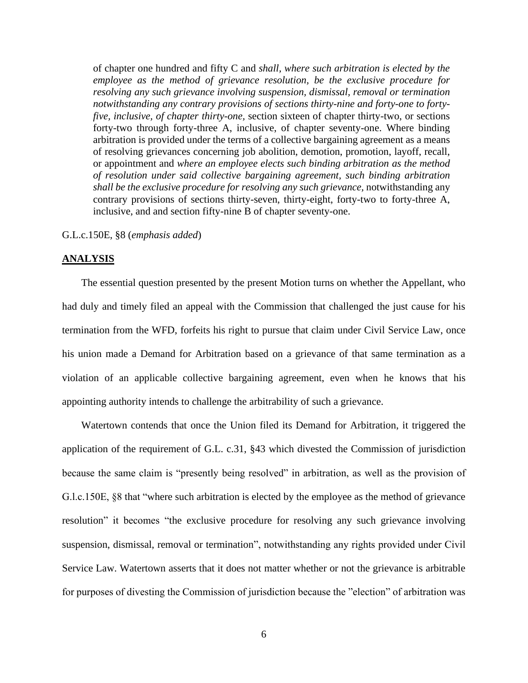of chapter one hundred and fifty C and *shall, where such arbitration is elected by the employee as the method of grievance resolution, be the exclusive procedure for resolving any such grievance involving suspension, dismissal, removal or termination notwithstanding any contrary provisions of sections thirty-nine and forty-one to fortyfive, inclusive, of chapter thirty-one,* section sixteen of chapter thirty-two, or sections forty-two through forty-three A, inclusive, of chapter seventy-one. Where binding arbitration is provided under the terms of a collective bargaining agreement as a means of resolving grievances concerning job abolition, demotion, promotion, layoff, recall, or appointment and *where an employee elects such binding arbitration as the method of resolution under said collective bargaining agreement, such binding arbitration shall be the exclusive procedure for resolving any such grievance,* notwithstanding any contrary provisions of sections thirty-seven, thirty-eight, forty-two to forty-three A, inclusive, and and section fifty-nine B of chapter seventy-one.

### G.L.c.150E, §8 (*emphasis added*)

#### **ANALYSIS**

The essential question presented by the present Motion turns on whether the Appellant, who had duly and timely filed an appeal with the Commission that challenged the just cause for his termination from the WFD, forfeits his right to pursue that claim under Civil Service Law, once his union made a Demand for Arbitration based on a grievance of that same termination as a violation of an applicable collective bargaining agreement, even when he knows that his appointing authority intends to challenge the arbitrability of such a grievance.

Watertown contends that once the Union filed its Demand for Arbitration, it triggered the application of the requirement of G.L. c.31, §43 which divested the Commission of jurisdiction because the same claim is "presently being resolved" in arbitration, as well as the provision of G.l.c.150E, §8 that "where such arbitration is elected by the employee as the method of grievance resolution" it becomes "the exclusive procedure for resolving any such grievance involving suspension, dismissal, removal or termination", notwithstanding any rights provided under Civil Service Law. Watertown asserts that it does not matter whether or not the grievance is arbitrable for purposes of divesting the Commission of jurisdiction because the "election" of arbitration was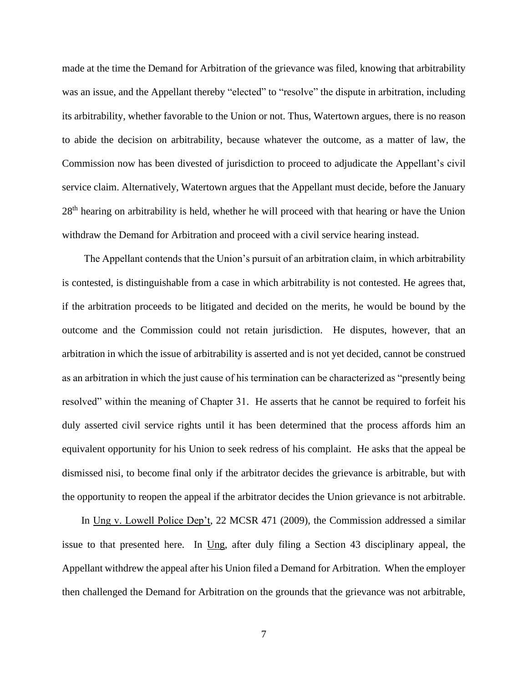made at the time the Demand for Arbitration of the grievance was filed, knowing that arbitrability was an issue, and the Appellant thereby "elected" to "resolve" the dispute in arbitration, including its arbitrability, whether favorable to the Union or not. Thus, Watertown argues, there is no reason to abide the decision on arbitrability, because whatever the outcome, as a matter of law, the Commission now has been divested of jurisdiction to proceed to adjudicate the Appellant's civil service claim. Alternatively, Watertown argues that the Appellant must decide, before the January  $28<sup>th</sup>$  hearing on arbitrability is held, whether he will proceed with that hearing or have the Union withdraw the Demand for Arbitration and proceed with a civil service hearing instead.

The Appellant contends that the Union's pursuit of an arbitration claim, in which arbitrability is contested, is distinguishable from a case in which arbitrability is not contested. He agrees that, if the arbitration proceeds to be litigated and decided on the merits, he would be bound by the outcome and the Commission could not retain jurisdiction. He disputes, however, that an arbitration in which the issue of arbitrability is asserted and is not yet decided, cannot be construed as an arbitration in which the just cause of his termination can be characterized as "presently being resolved" within the meaning of Chapter 31. He asserts that he cannot be required to forfeit his duly asserted civil service rights until it has been determined that the process affords him an equivalent opportunity for his Union to seek redress of his complaint. He asks that the appeal be dismissed nisi, to become final only if the arbitrator decides the grievance is arbitrable, but with the opportunity to reopen the appeal if the arbitrator decides the Union grievance is not arbitrable.

In Ung v. Lowell Police Dep't, 22 MCSR 471 (2009), the Commission addressed a similar issue to that presented here. In Ung, after duly filing a Section 43 disciplinary appeal, the Appellant withdrew the appeal after his Union filed a Demand for Arbitration. When the employer then challenged the Demand for Arbitration on the grounds that the grievance was not arbitrable,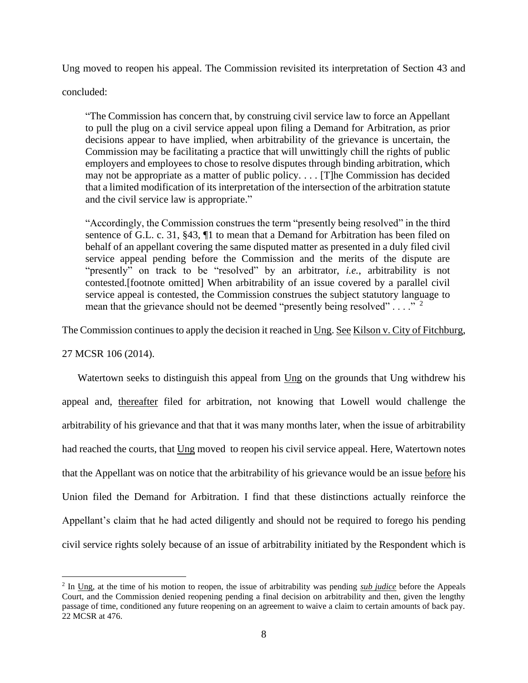Ung moved to reopen his appeal. The Commission revisited its interpretation of Section 43 and

concluded:

"The Commission has concern that, by construing civil service law to force an Appellant to pull the plug on a civil service appeal upon filing a Demand for Arbitration, as prior decisions appear to have implied, when arbitrability of the grievance is uncertain, the Commission may be facilitating a practice that will unwittingly chill the rights of public employers and employees to chose to resolve disputes through binding arbitration, which may not be appropriate as a matter of public policy. . . . [T]he Commission has decided that a limited modification of its interpretation of the intersection of the arbitration statute and the civil service law is appropriate."

"Accordingly, the Commission construes the term "presently being resolved" in the third sentence of G.L. c. 31, §43, ¶1 to mean that a Demand for Arbitration has been filed on behalf of an appellant covering the same disputed matter as presented in a duly filed civil service appeal pending before the Commission and the merits of the dispute are "presently" on track to be "resolved" by an arbitrator, *i.e.*, arbitrability is not contested.[footnote omitted] When arbitrability of an issue covered by a parallel civil service appeal is contested, the Commission construes the subject statutory language to mean that the grievance should not be deemed "presently being resolved" . . . ."  $2^2$ 

The Commission continues to apply the decision it reached in Ung. See Kilson v. City of Fitchburg,

27 MCSR 106 (2014).

Watertown seeks to distinguish this appeal from Ung on the grounds that Ung withdrew his appeal and, thereafter filed for arbitration, not knowing that Lowell would challenge the arbitrability of his grievance and that that it was many months later, when the issue of arbitrability had reached the courts, that Ung moved to reopen his civil service appeal. Here, Watertown notes that the Appellant was on notice that the arbitrability of his grievance would be an issue before his Union filed the Demand for Arbitration. I find that these distinctions actually reinforce the Appellant's claim that he had acted diligently and should not be required to forego his pending civil service rights solely because of an issue of arbitrability initiated by the Respondent which is

<sup>2</sup> In Ung, at the time of his motion to reopen, the issue of arbitrability was pending *sub judice* before the Appeals Court, and the Commission denied reopening pending a final decision on arbitrability and then, given the lengthy passage of time, conditioned any future reopening on an agreement to waive a claim to certain amounts of back pay. 22 MCSR at 476.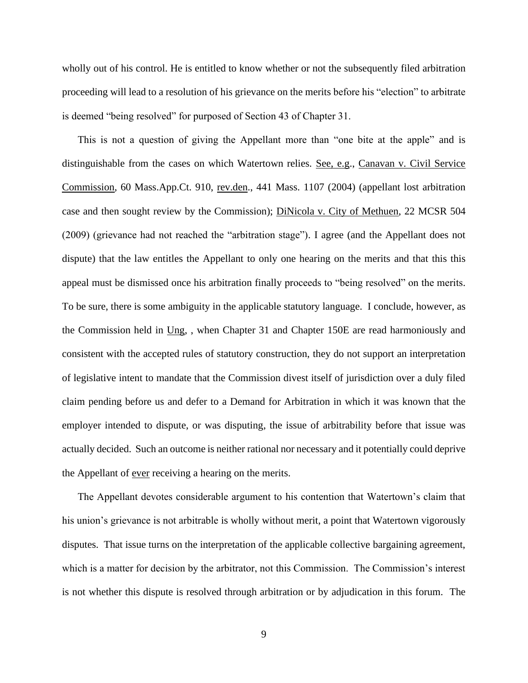wholly out of his control. He is entitled to know whether or not the subsequently filed arbitration proceeding will lead to a resolution of his grievance on the merits before his "election" to arbitrate is deemed "being resolved" for purposed of Section 43 of Chapter 31.

This is not a question of giving the Appellant more than "one bite at the apple" and is distinguishable from the cases on which Watertown relies. See, e.g., Canavan v. Civil Service Commission, 60 Mass.App.Ct. 910, rev.den., 441 Mass. 1107 (2004) (appellant lost arbitration case and then sought review by the Commission); DiNicola v. City of Methuen, 22 MCSR 504 (2009) (grievance had not reached the "arbitration stage"). I agree (and the Appellant does not dispute) that the law entitles the Appellant to only one hearing on the merits and that this this appeal must be dismissed once his arbitration finally proceeds to "being resolved" on the merits. To be sure, there is some ambiguity in the applicable statutory language. I conclude, however, as the Commission held in Ung, , when Chapter 31 and Chapter 150E are read harmoniously and consistent with the accepted rules of statutory construction, they do not support an interpretation of legislative intent to mandate that the Commission divest itself of jurisdiction over a duly filed claim pending before us and defer to a Demand for Arbitration in which it was known that the employer intended to dispute, or was disputing, the issue of arbitrability before that issue was actually decided. Such an outcome is neither rational nor necessary and it potentially could deprive the Appellant of <u>ever</u> receiving a hearing on the merits.

The Appellant devotes considerable argument to his contention that Watertown's claim that his union's grievance is not arbitrable is wholly without merit, a point that Watertown vigorously disputes. That issue turns on the interpretation of the applicable collective bargaining agreement, which is a matter for decision by the arbitrator, not this Commission. The Commission's interest is not whether this dispute is resolved through arbitration or by adjudication in this forum. The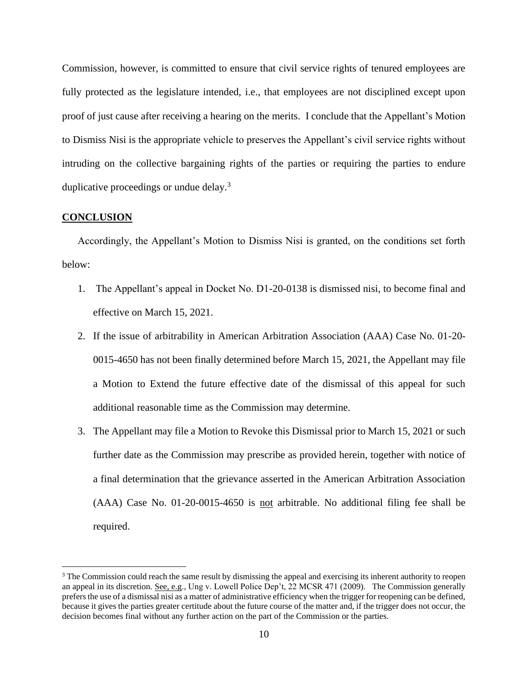Commission, however, is committed to ensure that civil service rights of tenured employees are fully protected as the legislature intended, i.e., that employees are not disciplined except upon proof of just cause after receiving a hearing on the merits. I conclude that the Appellant's Motion to Dismiss Nisi is the appropriate vehicle to preserves the Appellant's civil service rights without intruding on the collective bargaining rights of the parties or requiring the parties to endure duplicative proceedings or undue delay.<sup>3</sup>

### **CONCLUSION**

Accordingly, the Appellant's Motion to Dismiss Nisi is granted, on the conditions set forth below:

- 1. The Appellant's appeal in Docket No. D1-20-0138 is dismissed nisi, to become final and effective on March 15, 2021.
- 2. If the issue of arbitrability in American Arbitration Association (AAA) Case No. 01-20- 0015-4650 has not been finally determined before March 15, 2021, the Appellant may file a Motion to Extend the future effective date of the dismissal of this appeal for such additional reasonable time as the Commission may determine.
- 3. The Appellant may file a Motion to Revoke this Dismissal prior to March 15, 2021 or such further date as the Commission may prescribe as provided herein, together with notice of a final determination that the grievance asserted in the American Arbitration Association (AAA) Case No. 01-20-0015-4650 is not arbitrable. No additional filing fee shall be required.

<sup>&</sup>lt;sup>3</sup> The Commission could reach the same result by dismissing the appeal and exercising its inherent authority to reopen an appeal in its discretion. <u>See, e.g</u>., Ung v. Lowell Police Dep't, 22 MCSR 471 (2009). The Commission generally prefers the use of a dismissal nisi as a matter of administrative efficiency when the trigger for reopening can be defined, because it gives the parties greater certitude about the future course of the matter and, if the trigger does not occur, the decision becomes final without any further action on the part of the Commission or the parties.